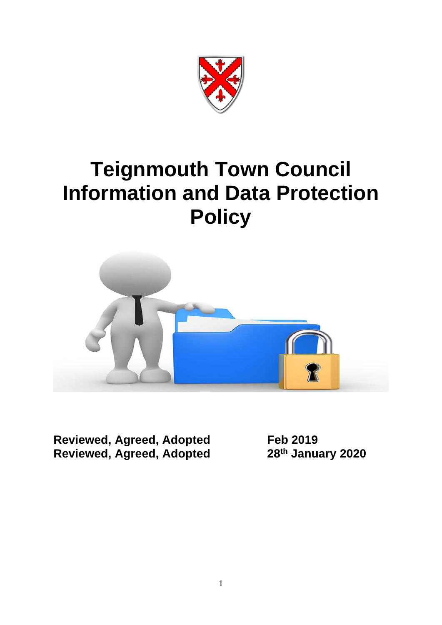

# **Teignmouth Town Council Information and Data Protection Policy**



**Reviewed, Agreed, Adopted** Feb 2019<br> **Reviewed, Agreed, Adopted** 28<sup>th</sup> January 2020 **Reviewed, Agreed, Adopted 28th January 2020**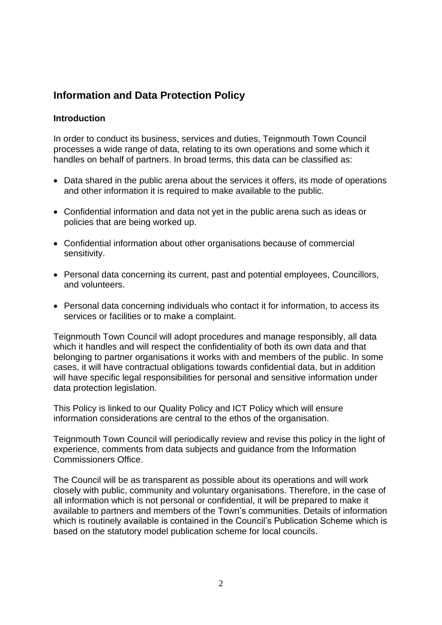## **Information and Data Protection Policy**

#### **Introduction**

In order to conduct its business, services and duties, Teignmouth Town Council processes a wide range of data, relating to its own operations and some which it handles on behalf of partners. In broad terms, this data can be classified as:

- Data shared in the public arena about the services it offers, its mode of operations and other information it is required to make available to the public.
- Confidential information and data not yet in the public arena such as ideas or policies that are being worked up.
- Confidential information about other organisations because of commercial sensitivity.
- Personal data concerning its current, past and potential employees, Councillors, and volunteers.
- Personal data concerning individuals who contact it for information, to access its services or facilities or to make a complaint.

Teignmouth Town Council will adopt procedures and manage responsibly, all data which it handles and will respect the confidentiality of both its own data and that belonging to partner organisations it works with and members of the public. In some cases, it will have contractual obligations towards confidential data, but in addition will have specific legal responsibilities for personal and sensitive information under data protection legislation.

This Policy is linked to our Quality Policy and ICT Policy which will ensure information considerations are central to the ethos of the organisation.

Teignmouth Town Council will periodically review and revise this policy in the light of experience, comments from data subjects and guidance from the Information Commissioners Office.

The Council will be as transparent as possible about its operations and will work closely with public, community and voluntary organisations. Therefore, in the case of all information which is not personal or confidential, it will be prepared to make it available to partners and members of the Town's communities. Details of information which is routinely available is contained in the Council's Publication Scheme which is based on the statutory model publication scheme for local councils.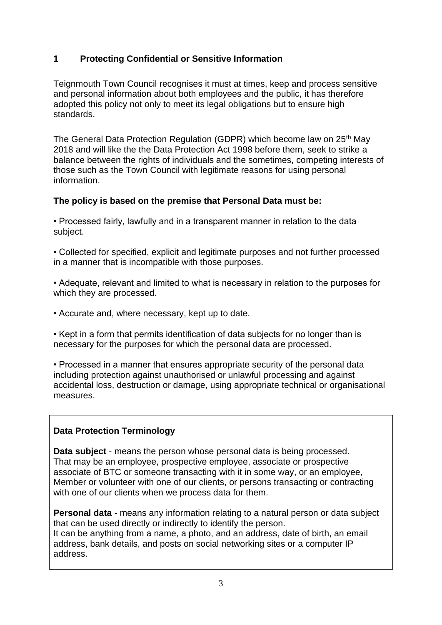## **1 Protecting Confidential or Sensitive Information**

Teignmouth Town Council recognises it must at times, keep and process sensitive and personal information about both employees and the public, it has therefore adopted this policy not only to meet its legal obligations but to ensure high standards.

The General Data Protection Regulation (GDPR) which become law on 25<sup>th</sup> May 2018 and will like the the Data Protection Act 1998 before them, seek to strike a balance between the rights of individuals and the sometimes, competing interests of those such as the Town Council with legitimate reasons for using personal information.

## **The policy is based on the premise that Personal Data must be:**

• Processed fairly, lawfully and in a transparent manner in relation to the data subject.

• Collected for specified, explicit and legitimate purposes and not further processed in a manner that is incompatible with those purposes.

• Adequate, relevant and limited to what is necessary in relation to the purposes for which they are processed.

• Accurate and, where necessary, kept up to date.

• Kept in a form that permits identification of data subjects for no longer than is necessary for the purposes for which the personal data are processed.

• Processed in a manner that ensures appropriate security of the personal data including protection against unauthorised or unlawful processing and against accidental loss, destruction or damage, using appropriate technical or organisational measures.

## **Data Protection Terminology**

**Data subject** - means the person whose personal data is being processed. That may be an employee, prospective employee, associate or prospective associate of BTC or someone transacting with it in some way, or an employee, Member or volunteer with one of our clients, or persons transacting or contracting with one of our clients when we process data for them.

**Personal data** - means any information relating to a natural person or data subject that can be used directly or indirectly to identify the person. It can be anything from a name, a photo, and an address, date of birth, an email address, bank details, and posts on social networking sites or a computer IP address.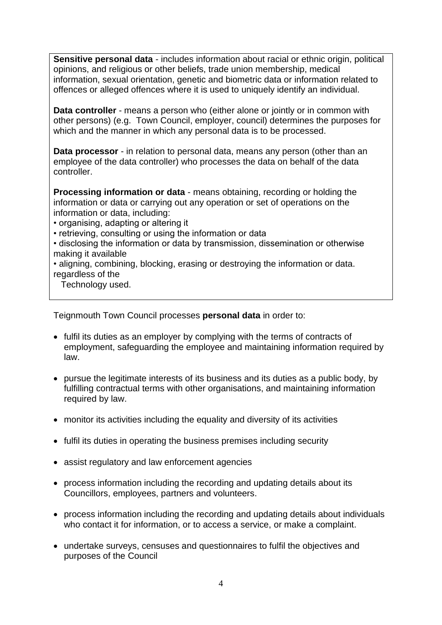**Sensitive personal data** - includes information about racial or ethnic origin, political opinions, and religious or other beliefs, trade union membership, medical information, sexual orientation, genetic and biometric data or information related to offences or alleged offences where it is used to uniquely identify an individual.

**Data controller** - means a person who (either alone or jointly or in common with other persons) (e.g. Town Council, employer, council) determines the purposes for which and the manner in which any personal data is to be processed.

**Data processor** - in relation to personal data, means any person (other than an employee of the data controller) who processes the data on behalf of the data controller.

**Processing information or data** - means obtaining, recording or holding the information or data or carrying out any operation or set of operations on the information or data, including:

- organising, adapting or altering it
- retrieving, consulting or using the information or data
- disclosing the information or data by transmission, dissemination or otherwise making it available
- aligning, combining, blocking, erasing or destroying the information or data. regardless of the

Technology used.

Teignmouth Town Council processes **personal data** in order to:

- fulfil its duties as an employer by complying with the terms of contracts of employment, safeguarding the employee and maintaining information required by law.
- pursue the legitimate interests of its business and its duties as a public body, by fulfilling contractual terms with other organisations, and maintaining information required by law.
- monitor its activities including the equality and diversity of its activities
- fulfil its duties in operating the business premises including security
- assist regulatory and law enforcement agencies
- process information including the recording and updating details about its Councillors, employees, partners and volunteers.
- process information including the recording and updating details about individuals who contact it for information, or to access a service, or make a complaint.
- undertake surveys, censuses and questionnaires to fulfil the objectives and purposes of the Council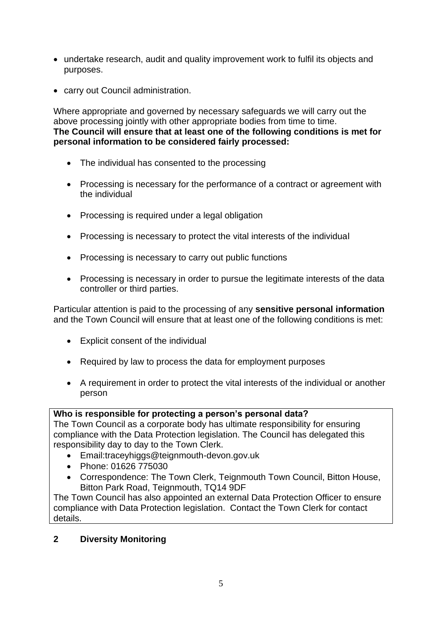- undertake research, audit and quality improvement work to fulfil its objects and purposes.
- carry out Council administration.

Where appropriate and governed by necessary safeguards we will carry out the above processing jointly with other appropriate bodies from time to time. **The Council will ensure that at least one of the following conditions is met for personal information to be considered fairly processed:**

- The individual has consented to the processing
- Processing is necessary for the performance of a contract or agreement with the individual
- Processing is required under a legal obligation
- Processing is necessary to protect the vital interests of the individual
- Processing is necessary to carry out public functions
- Processing is necessary in order to pursue the legitimate interests of the data controller or third parties.

Particular attention is paid to the processing of any **sensitive personal information** and the Town Council will ensure that at least one of the following conditions is met:

- Explicit consent of the individual
- Required by law to process the data for employment purposes
- A requirement in order to protect the vital interests of the individual or another person

## **Who is responsible for protecting a person's personal data?**

The Town Council as a corporate body has ultimate responsibility for ensuring compliance with the Data Protection legislation. The Council has delegated this responsibility day to day to the Town Clerk.

- Email:traceyhiggs@teignmouth-devon.gov.uk
- Phone: 01626 775030
- Correspondence: The Town Clerk, Teignmouth Town Council, Bitton House, Bitton Park Road, Teignmouth, TQ14 9DF

The Town Council has also appointed an external Data Protection Officer to ensure compliance with Data Protection legislation. Contact the Town Clerk for contact details.

## **2 Diversity Monitoring**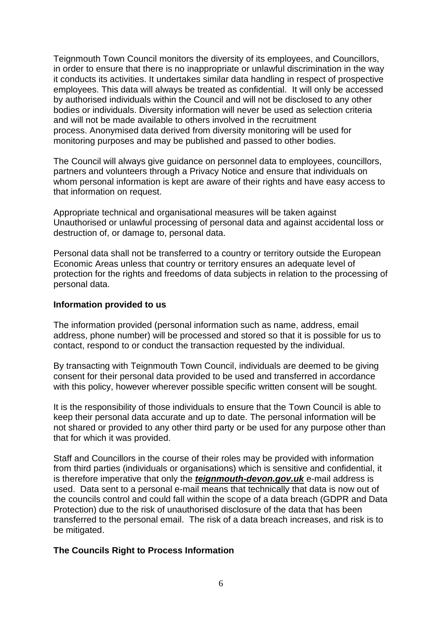Teignmouth Town Council monitors the diversity of its employees, and Councillors, in order to ensure that there is no inappropriate or unlawful discrimination in the way it conducts its activities. It undertakes similar data handling in respect of prospective employees. This data will always be treated as confidential. It will only be accessed by authorised individuals within the Council and will not be disclosed to any other bodies or individuals. Diversity information will never be used as selection criteria and will not be made available to others involved in the recruitment process. Anonymised data derived from diversity monitoring will be used for monitoring purposes and may be published and passed to other bodies.

The Council will always give guidance on personnel data to employees, councillors, partners and volunteers through a Privacy Notice and ensure that individuals on whom personal information is kept are aware of their rights and have easy access to that information on request.

Appropriate technical and organisational measures will be taken against Unauthorised or unlawful processing of personal data and against accidental loss or destruction of, or damage to, personal data.

Personal data shall not be transferred to a country or territory outside the European Economic Areas unless that country or territory ensures an adequate level of protection for the rights and freedoms of data subjects in relation to the processing of personal data.

#### **Information provided to us**

The information provided (personal information such as name, address, email address, phone number) will be processed and stored so that it is possible for us to contact, respond to or conduct the transaction requested by the individual.

By transacting with Teignmouth Town Council, individuals are deemed to be giving consent for their personal data provided to be used and transferred in accordance with this policy, however wherever possible specific written consent will be sought.

It is the responsibility of those individuals to ensure that the Town Council is able to keep their personal data accurate and up to date. The personal information will be not shared or provided to any other third party or be used for any purpose other than that for which it was provided.

Staff and Councillors in the course of their roles may be provided with information from third parties (individuals or organisations) which is sensitive and confidential, it is therefore imperative that only the *teignmouth-devon.gov.uk* e-mail address is used. Data sent to a personal e-mail means that technically that data is now out of the councils control and could fall within the scope of a data breach (GDPR and Data Protection) due to the risk of unauthorised disclosure of the data that has been transferred to the personal email. The risk of a data breach increases, and risk is to be mitigated.

#### **The Councils Right to Process Information**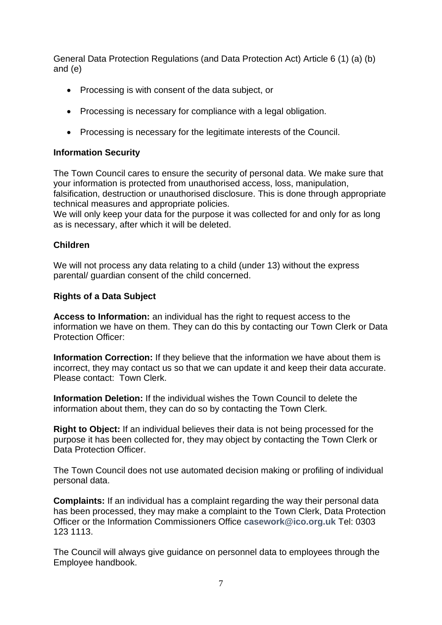General Data Protection Regulations (and Data Protection Act) Article 6 (1) (a) (b) and (e)

- Processing is with consent of the data subject, or
- Processing is necessary for compliance with a legal obligation.
- Processing is necessary for the legitimate interests of the Council.

#### **Information Security**

The Town Council cares to ensure the security of personal data. We make sure that your information is protected from unauthorised access, loss, manipulation, falsification, destruction or unauthorised disclosure. This is done through appropriate technical measures and appropriate policies.

We will only keep your data for the purpose it was collected for and only for as long as is necessary, after which it will be deleted.

#### **Children**

We will not process any data relating to a child (under 13) without the express parental/ guardian consent of the child concerned.

#### **Rights of a Data Subject**

**Access to Information:** an individual has the right to request access to the information we have on them. They can do this by contacting our Town Clerk or Data Protection Officer:

**Information Correction:** If they believe that the information we have about them is incorrect, they may contact us so that we can update it and keep their data accurate. Please contact: Town Clerk.

**Information Deletion:** If the individual wishes the Town Council to delete the information about them, they can do so by contacting the Town Clerk.

**Right to Object:** If an individual believes their data is not being processed for the purpose it has been collected for, they may object by contacting the Town Clerk or Data Protection Officer.

The Town Council does not use automated decision making or profiling of individual personal data.

**Complaints:** If an individual has a complaint regarding the way their personal data has been processed, they may make a complaint to the Town Clerk, Data Protection Officer or the Information Commissioners Office **[casework@ico.org.uk](mailto:casework@ico.org.uk)** Tel: 0303 123 1113.

The Council will always give guidance on personnel data to employees through the Employee handbook.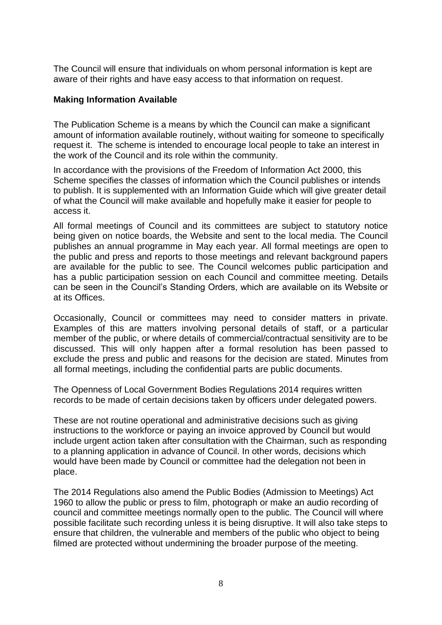The Council will ensure that individuals on whom personal information is kept are aware of their rights and have easy access to that information on request.

#### **Making Information Available**

The Publication Scheme is a means by which the Council can make a significant amount of information available routinely, without waiting for someone to specifically request it. The scheme is intended to encourage local people to take an interest in the work of the Council and its role within the community.

In accordance with the provisions of the Freedom of Information Act 2000, this Scheme specifies the classes of information which the Council publishes or intends to publish. It is supplemented with an Information Guide which will give greater detail of what the Council will make available and hopefully make it easier for people to access it.

All formal meetings of Council and its committees are subject to statutory notice being given on notice boards, the Website and sent to the local media. The Council publishes an annual programme in May each year. All formal meetings are open to the public and press and reports to those meetings and relevant background papers are available for the public to see. The Council welcomes public participation and has a public participation session on each Council and committee meeting. Details can be seen in the Council's Standing Orders, which are available on its Website or at its Offices.

Occasionally, Council or committees may need to consider matters in private. Examples of this are matters involving personal details of staff, or a particular member of the public, or where details of commercial/contractual sensitivity are to be discussed. This will only happen after a formal resolution has been passed to exclude the press and public and reasons for the decision are stated. Minutes from all formal meetings, including the confidential parts are public documents.

The Openness of Local Government Bodies Regulations 2014 requires written records to be made of certain decisions taken by officers under delegated powers.

These are not routine operational and administrative decisions such as giving instructions to the workforce or paying an invoice approved by Council but would include urgent action taken after consultation with the Chairman, such as responding to a planning application in advance of Council. In other words, decisions which would have been made by Council or committee had the delegation not been in place.

The 2014 Regulations also amend the Public Bodies (Admission to Meetings) Act 1960 to allow the public or press to film, photograph or make an audio recording of council and committee meetings normally open to the public. The Council will where possible facilitate such recording unless it is being disruptive. It will also take steps to ensure that children, the vulnerable and members of the public who object to being filmed are protected without undermining the broader purpose of the meeting.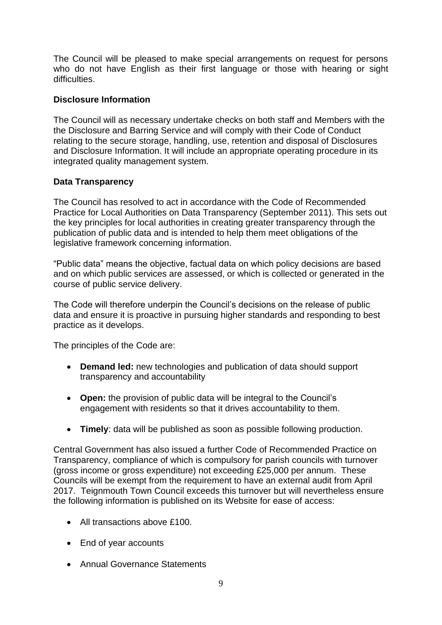The Council will be pleased to make special arrangements on request for persons who do not have English as their first language or those with hearing or sight difficulties.

## **Disclosure Information**

The Council will as necessary undertake checks on both staff and Members with the the Disclosure and Barring Service and will comply with their Code of Conduct relating to the secure storage, handling, use, retention and disposal of Disclosures and Disclosure Information. It will include an appropriate operating procedure in its integrated quality management system.

## **Data Transparency**

The Council has resolved to act in accordance with the Code of Recommended Practice for Local Authorities on Data Transparency (September 2011). This sets out the key principles for local authorities in creating greater transparency through the publication of public data and is intended to help them meet obligations of the legislative framework concerning information.

"Public data" means the objective, factual data on which policy decisions are based and on which public services are assessed, or which is collected or generated in the course of public service delivery.

The Code will therefore underpin the Council's decisions on the release of public data and ensure it is proactive in pursuing higher standards and responding to best practice as it develops.

The principles of the Code are:

- **Demand led:** new technologies and publication of data should support transparency and accountability
- **Open:** the provision of public data will be integral to the Council's engagement with residents so that it drives accountability to them.
- **Timely**: data will be published as soon as possible following production.

Central Government has also issued a further Code of Recommended Practice on Transparency, compliance of which is compulsory for parish councils with turnover (gross income or gross expenditure) not exceeding £25,000 per annum. These Councils will be exempt from the requirement to have an external audit from April 2017. Teignmouth Town Council exceeds this turnover but will nevertheless ensure the following information is published on its Website for ease of access:

- All transactions above £100.
- End of year accounts
- Annual Governance Statements